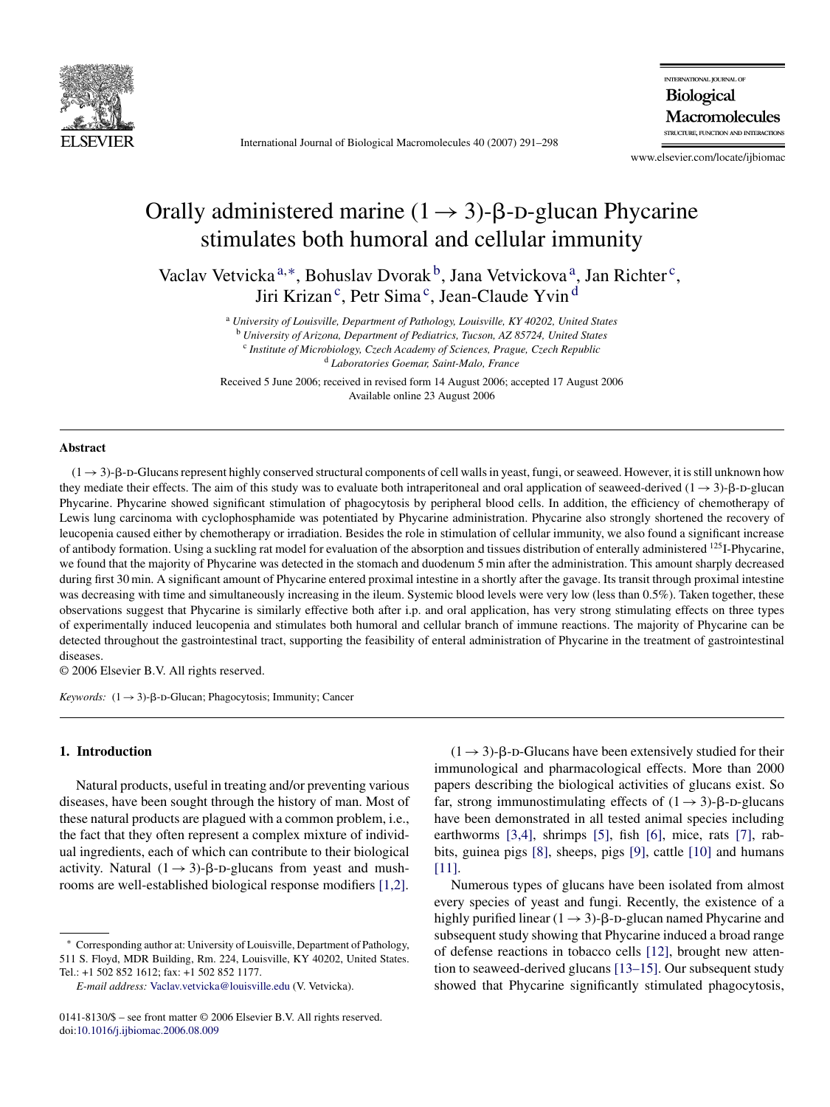

International Journal of Biological Macromolecules 40 (2007) 291–298

INTERNATIONAL JOURNAL OF **Biological Macromolecules** STRUCTURE, FUNCTION AND INTERACTIONS

www.elsevier.com/locate/ijbiomac

# Orally administered marine  $(1 \rightarrow 3)$ - $\beta$ -D-glucan Phycarine stimulates both humoral and cellular immunity

Vaclav Vetvicka<sup>a,∗</sup>, Bohuslav Dvorak<sup>b</sup>, Jana Vetvickova<sup>a</sup>, Jan Richter<sup>c</sup>, Jiri Krizan<sup>c</sup>, Petr Sima<sup>c</sup>, Jean-Claude Yvin<sup>d</sup>

<sup>a</sup> *University of Louisville, Department of Pathology, Louisville, KY 40202, United States*

<sup>b</sup> *University of Arizona, Department of Pediatrics, Tucson, AZ 85724, United States*

<sup>c</sup> *Institute of Microbiology, Czech Academy of Sciences, Prague, Czech Republic* <sup>d</sup> *Laboratories Goemar, Saint-Malo, France*

Received 5 June 2006; received in revised form 14 August 2006; accepted 17 August 2006 Available online 23 August 2006

#### **Abstract**

 $(1 \rightarrow 3)$ - $\beta$ -D-Glucans represent highly conserved structural components of cell walls in yeast, fungi, or seaweed. However, it is still unknown how they mediate their effects. The aim of this study was to evaluate both intraperitoneal and oral application of seaweed-derived  $(1 \rightarrow 3)$ - $\beta$ -D-glucan Phycarine. Phycarine showed significant stimulation of phagocytosis by peripheral blood cells. In addition, the efficiency of chemotherapy of Lewis lung carcinoma with cyclophosphamide was potentiated by Phycarine administration. Phycarine also strongly shortened the recovery of leucopenia caused either by chemotherapy or irradiation. Besides the role in stimulation of cellular immunity, we also found a significant increase of antibody formation. Using a suckling rat model for evaluation of the absorption and tissues distribution of enterally administered 125I-Phycarine, we found that the majority of Phycarine was detected in the stomach and duodenum 5 min after the administration. This amount sharply decreased during first 30 min. A significant amount of Phycarine entered proximal intestine in a shortly after the gavage. Its transit through proximal intestine was decreasing with time and simultaneously increasing in the ileum. Systemic blood levels were very low (less than 0.5%). Taken together, these observations suggest that Phycarine is similarly effective both after i.p. and oral application, has very strong stimulating effects on three types of experimentally induced leucopenia and stimulates both humoral and cellular branch of immune reactions. The majority of Phycarine can be detected throughout the gastrointestinal tract, supporting the feasibility of enteral administration of Phycarine in the treatment of gastrointestinal diseases.

© 2006 Elsevier B.V. All rights reserved.

*Keywords*: (1→3)-β-D-Glucan; Phagocytosis; Immunity; Cancer

## **1. Introduction**

Natural products, useful in treating and/or preventing various diseases, have been sought through the history of man. Most of these natural products are plagued with a common problem, i.e., the fact that they often represent a complex mixture of individual ingredients, each of which can contribute to their biological activity. Natural  $(1 \rightarrow 3)$ - $\beta$ -D-glucans from yeast and mushrooms are well-established biological response modifiers [\[1,2\].](#page-7-0)

 $(1 \rightarrow 3)$ - $\beta$ -D-Glucans have been extensively studied for their immunological and pharmacological effects. More than 2000 papers describing the biological activities of glucans exist. So far, strong immunostimulating effects of  $(1 \rightarrow 3)$ - $\beta$ -D-glucans have been demonstrated in all tested animal species including earthworms [\[3,4\],](#page-7-0) shrimps [\[5\],](#page-7-0) fish [\[6\],](#page-7-0) mice, rats [\[7\],](#page-7-0) rabbits, guinea pigs [\[8\],](#page-7-0) sheeps, pigs [\[9\],](#page-7-0) cattle [\[10\]](#page-7-0) and humans [\[11\].](#page-7-0)

Numerous types of glucans have been isolated from almost every species of yeast and fungi. Recently, the existence of a highly purified linear  $(1 \rightarrow 3)$ - $\beta$ -D-glucan named Phycarine and subsequent study showing that Phycarine induced a broad range of defense reactions in tobacco cells [\[12\],](#page-7-0) brought new attention to seaweed-derived glucans [\[13–15\]. O](#page-7-0)ur subsequent study showed that Phycarine significantly stimulated phagocytosis,

Corresponding author at: University of Louisville, Department of Pathology, 511 S. Floyd, MDR Building, Rm. 224, Louisville, KY 40202, United States. Tel.: +1 502 852 1612; fax: +1 502 852 1177.

*E-mail address:* [Vaclav.vetvicka@louisville.edu](mailto:Vaclav.vetvicka@louisville.edu) (V. Vetvicka).

<sup>0141-8130/\$ –</sup> see front matter © 2006 Elsevier B.V. All rights reserved. doi[:10.1016/j.ijbiomac.2006.08.009](dx.doi.org/10.1016/j.ijbiomac.2006.08.009)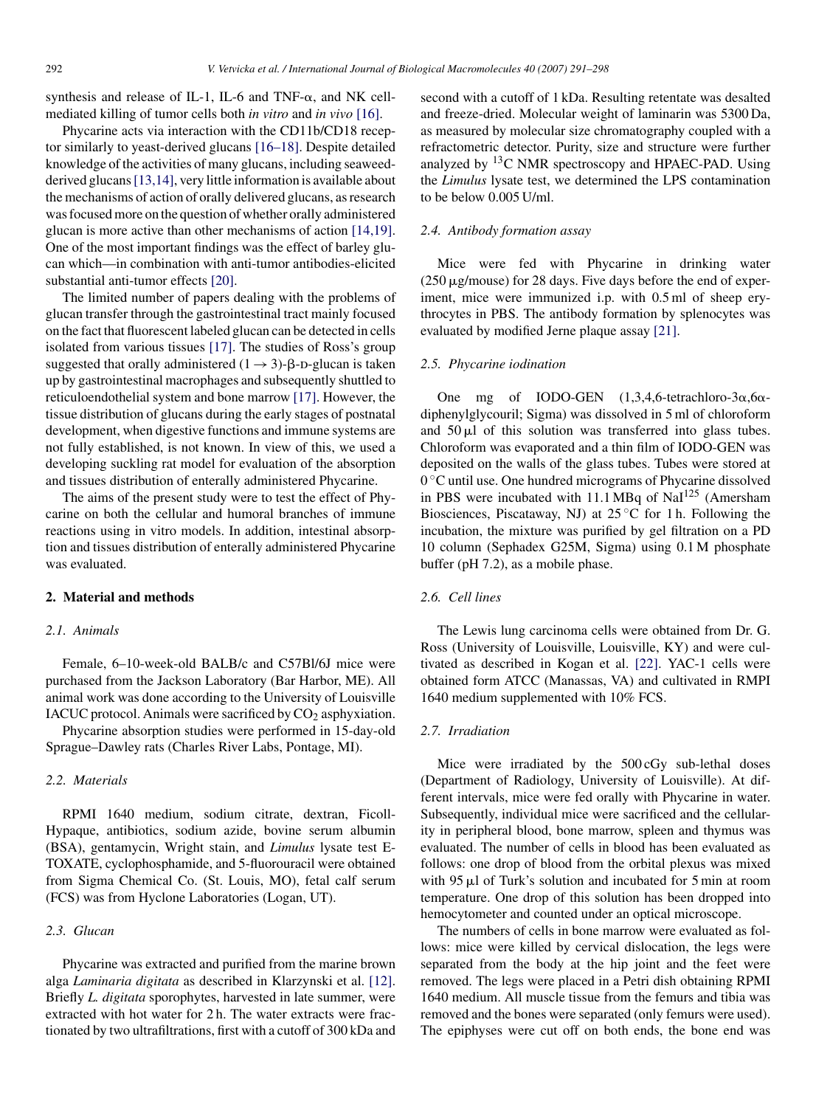synthesis and release of IL-1, IL-6 and TNF- $\alpha$ , and NK cellmediated killing of tumor cells both *in vitro* and *in vivo* [\[16\].](#page-7-0)

Phycarine acts via interaction with the CD11b/CD18 receptor similarly to yeast-derived glucans [\[16–18\]. D](#page-7-0)espite detailed knowledge of the activities of many glucans, including seaweedderived glucans[\[13,14\], v](#page-7-0)ery little information is available about the mechanisms of action of orally delivered glucans, as research was focused more on the question of whether orally administered glucan is more active than other mechanisms of action [\[14,19\].](#page-7-0) One of the most important findings was the effect of barley glucan which—in combination with anti-tumor antibodies-elicited substantial anti-tumor effects [\[20\].](#page-7-0)

The limited number of papers dealing with the problems of glucan transfer through the gastrointestinal tract mainly focused on the fact that fluorescent labeled glucan can be detected in cells isolated from various tissues [\[17\]. T](#page-7-0)he studies of Ross's group suggested that orally administered  $(1 \rightarrow 3)$ - $\beta$ -D-glucan is taken up by gastrointestinal macrophages and subsequently shuttled to reticuloendothelial system and bone marrow [\[17\]. H](#page-7-0)owever, the tissue distribution of glucans during the early stages of postnatal development, when digestive functions and immune systems are not fully established, is not known. In view of this, we used a developing suckling rat model for evaluation of the absorption and tissues distribution of enterally administered Phycarine.

The aims of the present study were to test the effect of Phycarine on both the cellular and humoral branches of immune reactions using in vitro models. In addition, intestinal absorption and tissues distribution of enterally administered Phycarine was evaluated.

## **2. Material and methods**

## *2.1. Animals*

Female, 6–10-week-old BALB/c and C57Bl/6J mice were purchased from the Jackson Laboratory (Bar Harbor, ME). All animal work was done according to the University of Louisville IACUC protocol. Animals were sacrificed by  $CO<sub>2</sub>$  asphyxiation.

Phycarine absorption studies were performed in 15-day-old Sprague–Dawley rats (Charles River Labs, Pontage, MI).

## *2.2. Materials*

RPMI 1640 medium, sodium citrate, dextran, Ficoll-Hypaque, antibiotics, sodium azide, bovine serum albumin (BSA), gentamycin, Wright stain, and *Limulus* lysate test E-TOXATE, cyclophosphamide, and 5-fluorouracil were obtained from Sigma Chemical Co. (St. Louis, MO), fetal calf serum (FCS) was from Hyclone Laboratories (Logan, UT).

## *2.3. Glucan*

Phycarine was extracted and purified from the marine brown alga *Laminaria digitata* as described in Klarzynski et al. [\[12\].](#page-7-0) Briefly *L. digitata* sporophytes, harvested in late summer, were extracted with hot water for 2 h. The water extracts were fractionated by two ultrafiltrations, first with a cutoff of 300 kDa and second with a cutoff of 1 kDa. Resulting retentate was desalted and freeze-dried. Molecular weight of laminarin was 5300 Da, as measured by molecular size chromatography coupled with a refractometric detector. Purity, size and structure were further analyzed by  ${}^{13}C$  NMR spectroscopy and HPAEC-PAD. Using the *Limulus* lysate test, we determined the LPS contamination to be below 0.005 U/ml.

#### *2.4. Antibody formation assay*

Mice were fed with Phycarine in drinking water  $(250 \,\mu\text{g/mouse})$  for 28 days. Five days before the end of experiment, mice were immunized i.p. with 0.5 ml of sheep erythrocytes in PBS. The antibody formation by splenocytes was evaluated by modified Jerne plaque assay [\[21\].](#page-7-0)

#### *2.5. Phycarine iodination*

One mg of IODO-GEN  $(1,3,4,6$ -tetrachloro-3 $\alpha,6\alpha$ diphenylglycouril; Sigma) was dissolved in 5 ml of chloroform and  $50 \mu l$  of this solution was transferred into glass tubes. Chloroform was evaporated and a thin film of IODO-GEN was deposited on the walls of the glass tubes. Tubes were stored at 0 ◦C until use. One hundred micrograms of Phycarine dissolved in PBS were incubated with  $11.1 \text{ MBq}$  of NaI $125$  (Amersham Biosciences, Piscataway, NJ) at  $25^{\circ}$ C for 1 h. Following the incubation, the mixture was purified by gel filtration on a PD 10 column (Sephadex G25M, Sigma) using 0.1 M phosphate buffer (pH 7.2), as a mobile phase.

## *2.6. Cell lines*

The Lewis lung carcinoma cells were obtained from Dr. G. Ross (University of Louisville, Louisville, KY) and were cultivated as described in Kogan et al. [\[22\].](#page-7-0) YAC-1 cells were obtained form ATCC (Manassas, VA) and cultivated in RMPI 1640 medium supplemented with 10% FCS.

## *2.7. Irradiation*

Mice were irradiated by the 500 cGy sub-lethal doses (Department of Radiology, University of Louisville). At different intervals, mice were fed orally with Phycarine in water. Subsequently, individual mice were sacrificed and the cellularity in peripheral blood, bone marrow, spleen and thymus was evaluated. The number of cells in blood has been evaluated as follows: one drop of blood from the orbital plexus was mixed with  $95 \mu l$  of Turk's solution and incubated for 5 min at room temperature. One drop of this solution has been dropped into hemocytometer and counted under an optical microscope.

The numbers of cells in bone marrow were evaluated as follows: mice were killed by cervical dislocation, the legs were separated from the body at the hip joint and the feet were removed. The legs were placed in a Petri dish obtaining RPMI 1640 medium. All muscle tissue from the femurs and tibia was removed and the bones were separated (only femurs were used). The epiphyses were cut off on both ends, the bone end was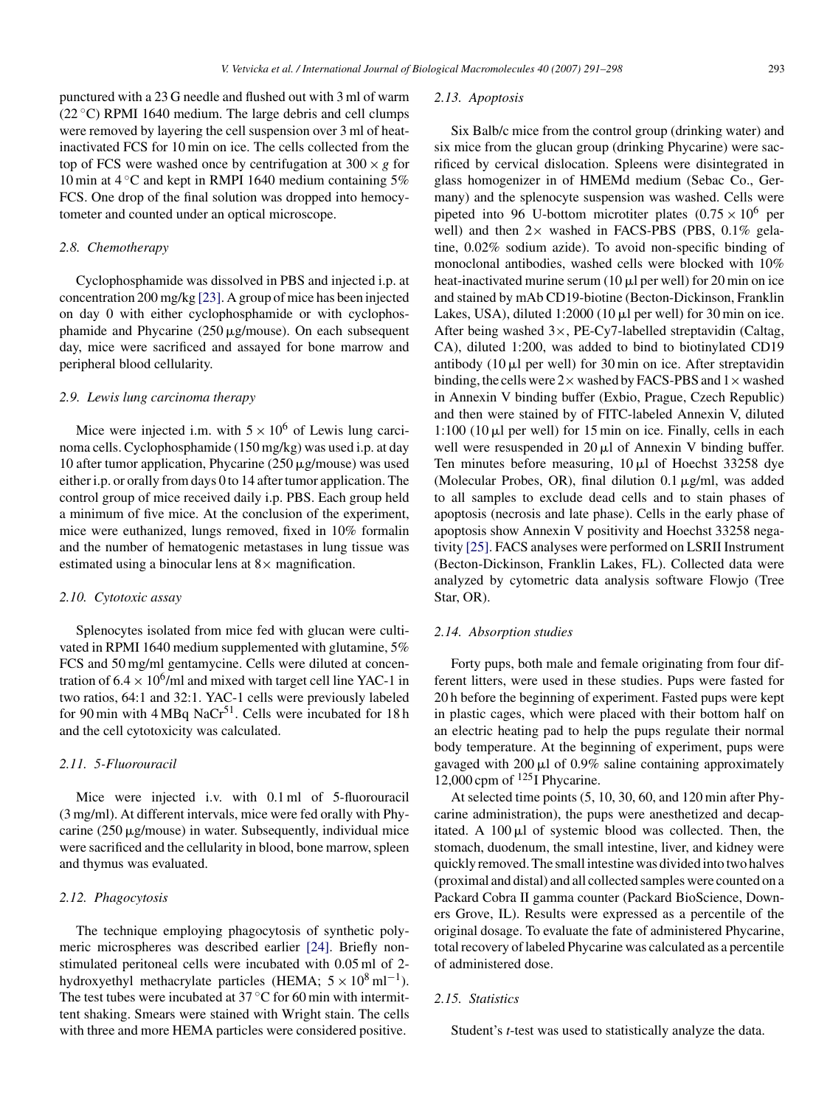punctured with a 23 G needle and flushed out with 3 ml of warm (22 $\degree$ C) RPMI 1640 medium. The large debris and cell clumps were removed by layering the cell suspension over 3 ml of heatinactivated FCS for 10 min on ice. The cells collected from the top of FCS were washed once by centrifugation at  $300 \times g$  for 10 min at 4 ◦C and kept in RMPI 1640 medium containing 5% FCS. One drop of the final solution was dropped into hemocytometer and counted under an optical microscope.

#### *2.8. Chemotherapy*

Cyclophosphamide was dissolved in PBS and injected i.p. at concentration 200 mg/kg [\[23\]. A](#page-7-0) group of mice has been injected on day 0 with either cyclophosphamide or with cyclophosphamide and Phycarine  $(250 \mu g/mouse)$ . On each subsequent day, mice were sacrificed and assayed for bone marrow and peripheral blood cellularity.

#### *2.9. Lewis lung carcinoma therapy*

Mice were injected i.m. with  $5 \times 10^6$  of Lewis lung carcinoma cells. Cyclophosphamide (150 mg/kg) was used i.p. at day 10 after tumor application, Phycarine  $(250 \mu g/mouse)$  was used either i.p. or orally from days 0 to 14 after tumor application. The control group of mice received daily i.p. PBS. Each group held a minimum of five mice. At the conclusion of the experiment, mice were euthanized, lungs removed, fixed in 10% formalin and the number of hematogenic metastases in lung tissue was estimated using a binocular lens at  $8\times$  magnification.

## *2.10. Cytotoxic assay*

Splenocytes isolated from mice fed with glucan were cultivated in RPMI 1640 medium supplemented with glutamine, 5% FCS and 50 mg/ml gentamycine. Cells were diluted at concentration of  $6.4 \times 10^6$ /ml and mixed with target cell line YAC-1 in two ratios, 64:1 and 32:1. YAC-1 cells were previously labeled for 90 min with  $4 \text{ MBq NaCr}^{51}$ . Cells were incubated for 18 h and the cell cytotoxicity was calculated.

### *2.11. 5-Fluorouracil*

Mice were injected i.v. with 0.1 ml of 5-fluorouracil (3 mg/ml). At different intervals, mice were fed orally with Phycarine  $(250 \mu g/mouse)$  in water. Subsequently, individual mice were sacrificed and the cellularity in blood, bone marrow, spleen and thymus was evaluated.

#### *2.12. Phagocytosis*

The technique employing phagocytosis of synthetic polymeric microspheres was described earlier [\[24\].](#page-7-0) Briefly nonstimulated peritoneal cells were incubated with 0.05 ml of 2 hydroxyethyl methacrylate particles (HEMA;  $5 \times 10^8$  ml<sup>-1</sup>). The test tubes were incubated at 37 ◦C for 60 min with intermittent shaking. Smears were stained with Wright stain. The cells with three and more HEMA particles were considered positive.

#### *2.13. Apoptosis*

Six Balb/c mice from the control group (drinking water) and six mice from the glucan group (drinking Phycarine) were sacrificed by cervical dislocation. Spleens were disintegrated in glass homogenizer in of HMEMd medium (Sebac Co., Germany) and the splenocyte suspension was washed. Cells were pipeted into 96 U-bottom microtiter plates  $(0.75 \times 10^6$  per well) and then  $2 \times$  washed in FACS-PBS (PBS, 0.1% gelatine, 0.02% sodium azide). To avoid non-specific binding of monoclonal antibodies, washed cells were blocked with 10% heat-inactivated murine serum  $(10 \mu I)$  per well) for 20 min on ice and stained by mAb CD19-biotine (Becton-Dickinson, Franklin Lakes, USA), diluted  $1:2000$  (10  $\mu$ l per well) for 30 min on ice. After being washed 3×, PE-Cy7-labelled streptavidin (Caltag, CA), diluted 1:200, was added to bind to biotinylated CD19 antibody  $(10 \mu l$  per well) for 30 min on ice. After streptavidin binding, the cells were  $2\times$  washed by FACS-PBS and  $1\times$  washed in Annexin V binding buffer (Exbio, Prague, Czech Republic) and then were stained by of FITC-labeled Annexin V, diluted 1:100 (10  $\mu$ l per well) for 15 min on ice. Finally, cells in each well were resuspended in  $20 \mu l$  of Annexin V binding buffer. Ten minutes before measuring,  $10 \mu l$  of Hoechst 33258 dye (Molecular Probes, OR), final dilution  $0.1 \mu g/ml$ , was added to all samples to exclude dead cells and to stain phases of apoptosis (necrosis and late phase). Cells in the early phase of apoptosis show Annexin V positivity and Hoechst 33258 negativity [\[25\]. F](#page-7-0)ACS analyses were performed on LSRII Instrument (Becton-Dickinson, Franklin Lakes, FL). Collected data were analyzed by cytometric data analysis software Flowjo (Tree Star, OR).

#### *2.14. Absorption studies*

Forty pups, both male and female originating from four different litters, were used in these studies. Pups were fasted for 20 h before the beginning of experiment. Fasted pups were kept in plastic cages, which were placed with their bottom half on an electric heating pad to help the pups regulate their normal body temperature. At the beginning of experiment, pups were gavaged with  $200 \mu l$  of  $0.9\%$  saline containing approximately 12,000 cpm of  $^{125}$ I Phycarine.

At selected time points (5, 10, 30, 60, and 120 min after Phycarine administration), the pups were anesthetized and decapitated. A  $100 \mu l$  of systemic blood was collected. Then, the stomach, duodenum, the small intestine, liver, and kidney were quickly removed. The small intestine was divided into two halves (proximal and distal) and all collected samples were counted on a Packard Cobra II gamma counter (Packard BioScience, Downers Grove, IL). Results were expressed as a percentile of the original dosage. To evaluate the fate of administered Phycarine, total recovery of labeled Phycarine was calculated as a percentile of administered dose.

## *2.15. Statistics*

Student's *t*-test was used to statistically analyze the data.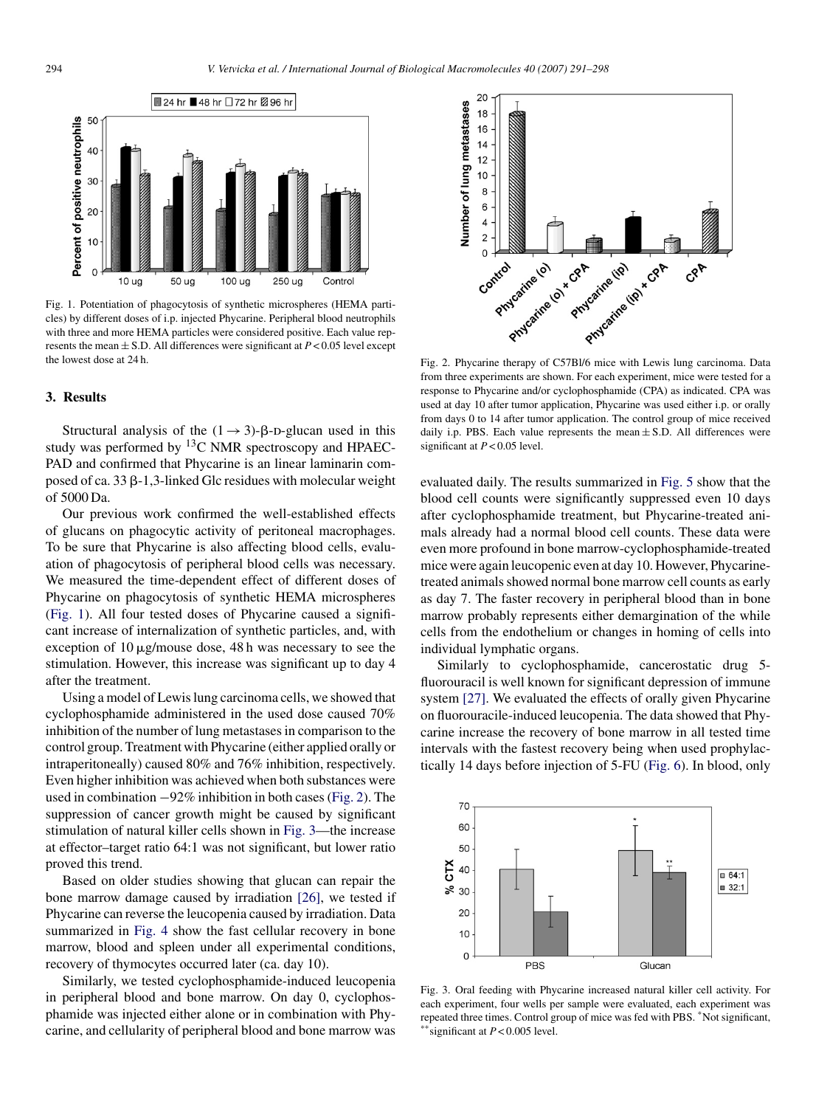

Fig. 1. Potentiation of phagocytosis of synthetic microspheres (HEMA particles) by different doses of i.p. injected Phycarine. Peripheral blood neutrophils with three and more HEMA particles were considered positive. Each value represents the mean  $\pm$  S.D. All differences were significant at  $P < 0.05$  level except the lowest dose at 24 h.

#### **3. Results**

Structural analysis of the  $(1 \rightarrow 3)$ - $\beta$ -D-glucan used in this study was performed by  ${}^{13}$ C NMR spectroscopy and HPAEC-PAD and confirmed that Phycarine is an linear laminarin composed of ca. 33  $\beta$ -1,3-linked Glc residues with molecular weight of 5000 Da.

Our previous work confirmed the well-established effects of glucans on phagocytic activity of peritoneal macrophages. To be sure that Phycarine is also affecting blood cells, evaluation of phagocytosis of peripheral blood cells was necessary. We measured the time-dependent effect of different doses of Phycarine on phagocytosis of synthetic HEMA microspheres (Fig. 1). All four tested doses of Phycarine caused a significant increase of internalization of synthetic particles, and, with exception of  $10 \mu$ g/mouse dose, 48 h was necessary to see the stimulation. However, this increase was significant up to day 4 after the treatment.

Using a model of Lewis lung carcinoma cells, we showed that cyclophosphamide administered in the used dose caused 70% inhibition of the number of lung metastases in comparison to the control group. Treatment with Phycarine (either applied orally or intraperitoneally) caused 80% and 76% inhibition, respectively. Even higher inhibition was achieved when both substances were used in combination −92% inhibition in both cases (Fig. 2). The suppression of cancer growth might be caused by significant stimulation of natural killer cells shown in Fig. 3—the increase at effector–target ratio 64:1 was not significant, but lower ratio proved this trend.

Based on older studies showing that glucan can repair the bone marrow damage caused by irradiation [\[26\],](#page-7-0) we tested if Phycarine can reverse the leucopenia caused by irradiation. Data summarized in [Fig. 4](#page-4-0) show the fast cellular recovery in bone marrow, blood and spleen under all experimental conditions, recovery of thymocytes occurred later (ca. day 10).

Similarly, we tested cyclophosphamide-induced leucopenia in peripheral blood and bone marrow. On day 0, cyclophosphamide was injected either alone or in combination with Phycarine, and cellularity of peripheral blood and bone marrow was



Fig. 2. Phycarine therapy of C57Bl/6 mice with Lewis lung carcinoma. Data from three experiments are shown. For each experiment, mice were tested for a response to Phycarine and/or cyclophosphamide (CPA) as indicated. CPA was used at day 10 after tumor application, Phycarine was used either i.p. or orally from days 0 to 14 after tumor application. The control group of mice received daily i.p. PBS. Each value represents the mean  $\pm$  S.D. All differences were significant at *P* < 0.05 level.

evaluated daily. The results summarized in [Fig. 5](#page-4-0) show that the blood cell counts were significantly suppressed even 10 days after cyclophosphamide treatment, but Phycarine-treated animals already had a normal blood cell counts. These data were even more profound in bone marrow-cyclophosphamide-treated mice were again leucopenic even at day 10. However, Phycarinetreated animals showed normal bone marrow cell counts as early as day 7. The faster recovery in peripheral blood than in bone marrow probably represents either demargination of the while cells from the endothelium or changes in homing of cells into individual lymphatic organs.

Similarly to cyclophosphamide, cancerostatic drug 5 fluorouracil is well known for significant depression of immune system [\[27\]. W](#page-7-0)e evaluated the effects of orally given Phycarine on fluorouracile-induced leucopenia. The data showed that Phycarine increase the recovery of bone marrow in all tested time intervals with the fastest recovery being when used prophylactically 14 days before injection of 5-FU [\(Fig. 6\).](#page-5-0) In blood, only



Fig. 3. Oral feeding with Phycarine increased natural killer cell activity. For each experiment, four wells per sample were evaluated, each experiment was repeated three times. Control group of mice was fed with PBS. \*Not significant, significant at  $P < 0.005$  level.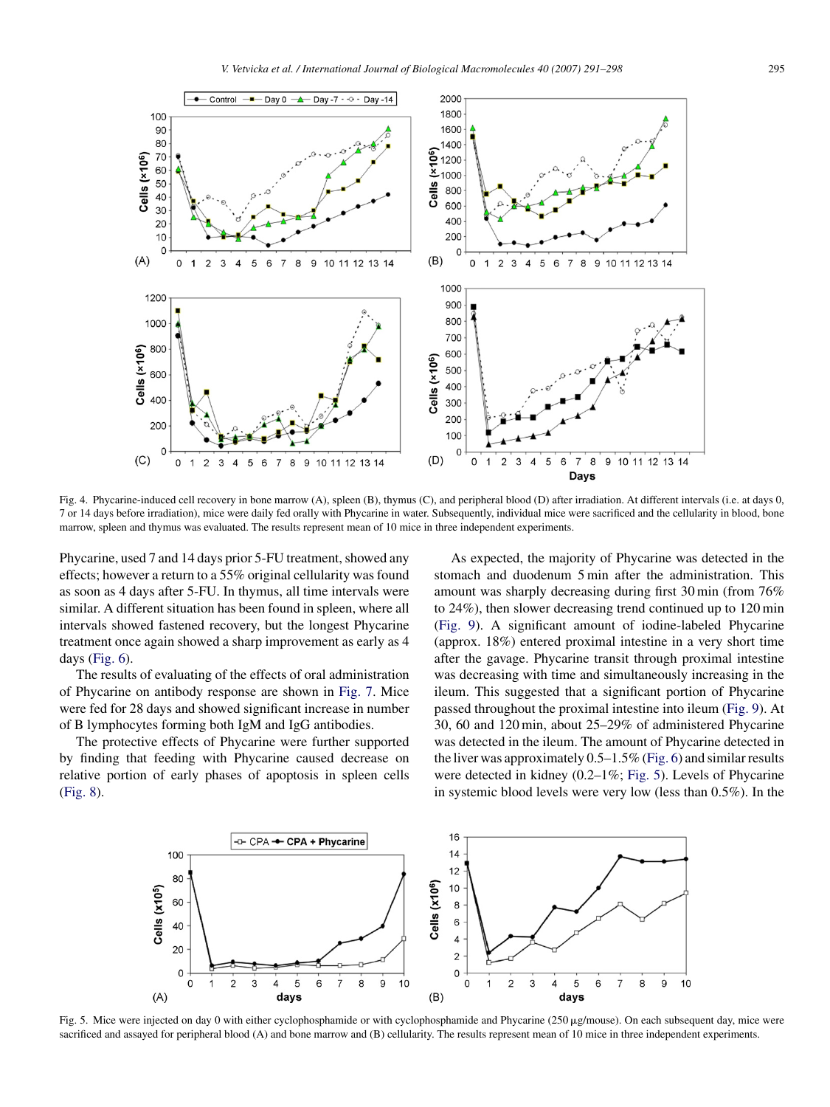<span id="page-4-0"></span>

Fig. 4. Phycarine-induced cell recovery in bone marrow (A), spleen (B), thymus (C), and peripheral blood (D) after irradiation. At different intervals (i.e. at days 0, 7 or 14 days before irradiation), mice were daily fed orally with Phycarine in water. Subsequently, individual mice were sacrificed and the cellularity in blood, bone marrow, spleen and thymus was evaluated. The results represent mean of 10 mice in three independent experiments.

Phycarine, used 7 and 14 days prior 5-FU treatment, showed any effects; however a return to a 55% original cellularity was found as soon as 4 days after 5-FU. In thymus, all time intervals were similar. A different situation has been found in spleen, where all intervals showed fastened recovery, but the longest Phycarine treatment once again showed a sharp improvement as early as 4 days ([Fig. 6\).](#page-5-0)

The results of evaluating of the effects of oral administration of Phycarine on antibody response are shown in [Fig. 7.](#page-5-0) Mice were fed for 28 days and showed significant increase in number of B lymphocytes forming both IgM and IgG antibodies.

The protective effects of Phycarine were further supported by finding that feeding with Phycarine caused decrease on relative portion of early phases of apoptosis in spleen cells ([Fig. 8\).](#page-5-0)

As expected, the majority of Phycarine was detected in the stomach and duodenum 5 min after the administration. This amount was sharply decreasing during first 30 min (from 76% to 24%), then slower decreasing trend continued up to 120 min ([Fig. 9\)](#page-6-0). A significant amount of iodine-labeled Phycarine (approx. 18%) entered proximal intestine in a very short time after the gavage. Phycarine transit through proximal intestine was decreasing with time and simultaneously increasing in the ileum. This suggested that a significant portion of Phycarine passed throughout the proximal intestine into ileum ([Fig. 9\).](#page-6-0) At 30, 60 and 120 min, about 25–29% of administered Phycarine was detected in the ileum. The amount of Phycarine detected in the liver was approximately 0.5–1.5% [\(Fig. 6\) a](#page-5-0)nd similar results were detected in kidney (0.2–1%; Fig. 5). Levels of Phycarine in systemic blood levels were very low (less than 0.5%). In the



Fig. 5. Mice were injected on day 0 with either cyclophosphamide or with cyclophosphamide and Phycarine ( $250 \mu g/m$ ouse). On each subsequent day, mice were sacrificed and assayed for peripheral blood (A) and bone marrow and (B) cellularity. The results represent mean of 10 mice in three independent experiments.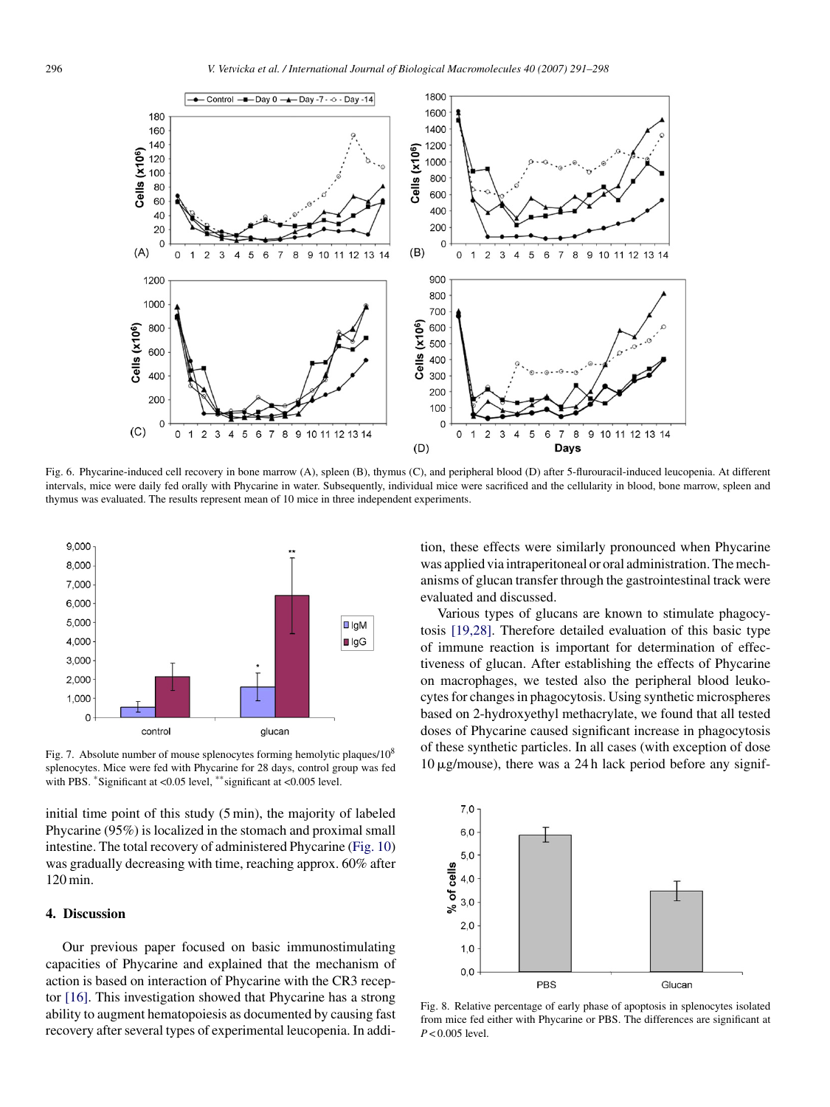<span id="page-5-0"></span>

Fig. 6. Phycarine-induced cell recovery in bone marrow (A), spleen (B), thymus (C), and peripheral blood (D) after 5-flurouracil-induced leucopenia. At different intervals, mice were daily fed orally with Phycarine in water. Subsequently, individual mice were sacrificed and the cellularity in blood, bone marrow, spleen and thymus was evaluated. The results represent mean of 10 mice in three independent experiments.



Fig. 7. Absolute number of mouse splenocytes forming hemolytic plaques/108 splenocytes. Mice were fed with Phycarine for 28 days, control group was fed with PBS. \*Significant at <0.05 level, \*\*significant at <0.005 level.

initial time point of this study (5 min), the majority of labeled Phycarine (95%) is localized in the stomach and proximal small intestine. The total recovery of administered Phycarine ([Fig. 10\)](#page-6-0) was gradually decreasing with time, reaching approx. 60% after 120 min.

#### **4. Discussion**

Our previous paper focused on basic immunostimulating capacities of Phycarine and explained that the mechanism of action is based on interaction of Phycarine with the CR3 receptor [\[16\].](#page-7-0) This investigation showed that Phycarine has a strong ability to augment hematopoiesis as documented by causing fast recovery after several types of experimental leucopenia. In addition, these effects were similarly pronounced when Phycarine was applied via intraperitoneal or oral administration. The mechanisms of glucan transfer through the gastrointestinal track were evaluated and discussed.

Various types of glucans are known to stimulate phagocytosis [\[19,28\].](#page-7-0) Therefore detailed evaluation of this basic type of immune reaction is important for determination of effectiveness of glucan. After establishing the effects of Phycarine on macrophages, we tested also the peripheral blood leukocytes for changes in phagocytosis. Using synthetic microspheres based on 2-hydroxyethyl methacrylate, we found that all tested doses of Phycarine caused significant increase in phagocytosis of these synthetic particles. In all cases (with exception of dose  $10 \mu$ g/mouse), there was a 24 h lack period before any signif-



Fig. 8. Relative percentage of early phase of apoptosis in splenocytes isolated from mice fed either with Phycarine or PBS. The differences are significant at *P* < 0.005 level.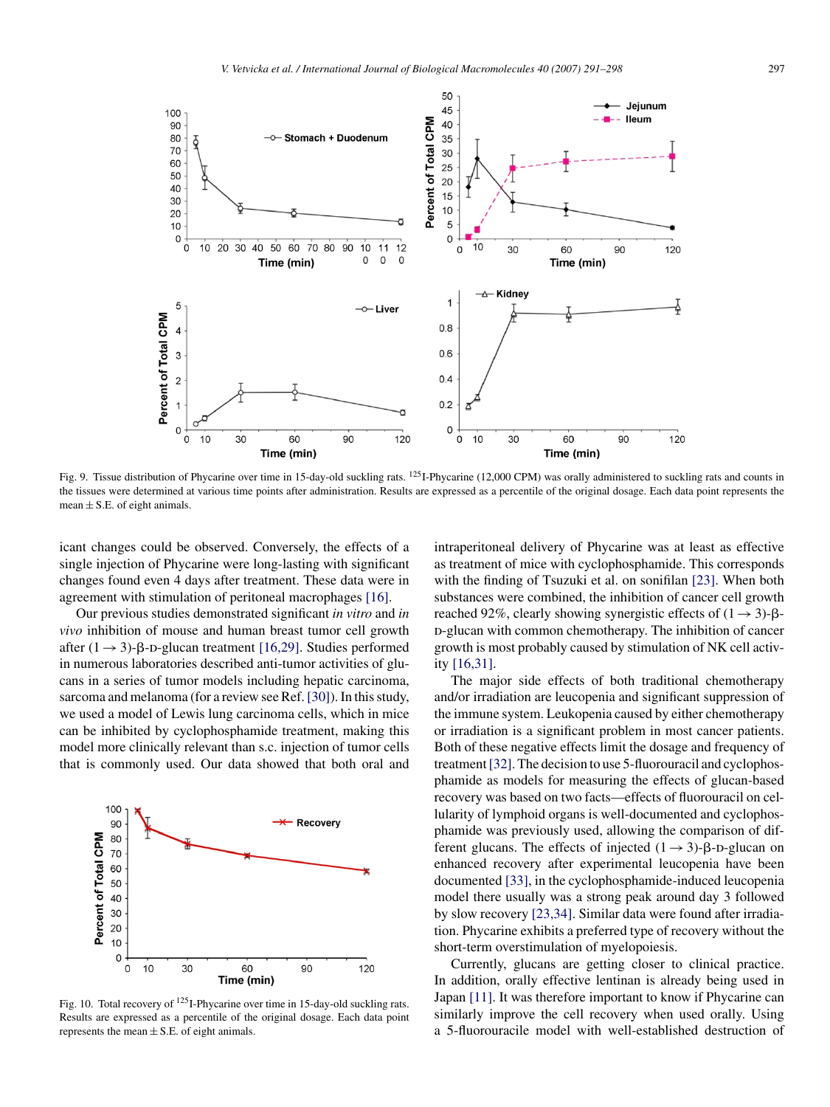<span id="page-6-0"></span>

Fig. 9. Tissue distribution of Phycarine over time in 15-day-old suckling rats. <sup>125</sup>I-Phycarine (12,000 CPM) was orally administered to suckling rats and counts in the tissues were determined at various time points after administration. Results are expressed as a percentile of the original dosage. Each data point represents the mean  $\pm$  S.E. of eight animals.

icant changes could be observed. Conversely, the effects of a single injection of Phycarine were long-lasting with significant changes found even 4 days after treatment. These data were in agreement with stimulation of peritoneal macrophages [\[16\].](#page-7-0)

Our previous studies demonstrated significant *in vitro* and *in vivo* inhibition of mouse and human breast tumor cell growth after  $(1 \rightarrow 3)$ -β-D-glucan treatment [\[16,29\].](#page-7-0) Studies performed in numerous laboratories described anti-tumor activities of glucans in a series of tumor models including hepatic carcinoma, sarcoma and melanoma (for a review see Ref.[\[30\]\).](#page-7-0) In this study, we used a model of Lewis lung carcinoma cells, which in mice can be inhibited by cyclophosphamide treatment, making this model more clinically relevant than s.c. injection of tumor cells that is commonly used. Our data showed that both oral and



Fig. 10. Total recovery of <sup>125</sup>I-Phycarine over time in 15-day-old suckling rats. Results are expressed as a percentile of the original dosage. Each data point represents the mean  $\pm$  S.E. of eight animals.

intraperitoneal delivery of Phycarine was at least as effective as treatment of mice with cyclophosphamide. This corresponds with the finding of Tsuzuki et al. on sonifilan [\[23\].](#page-7-0) When both substances were combined, the inhibition of cancer cell growth reached 92%, clearly showing synergistic effects of  $(1 \rightarrow 3)$ - $\beta$ d-glucan with common chemotherapy. The inhibition of cancer growth is most probably caused by stimulation of NK cell activity [\[16,31\].](#page-7-0)

The major side effects of both traditional chemotherapy and/or irradiation are leucopenia and significant suppression of the immune system. Leukopenia caused by either chemotherapy or irradiation is a significant problem in most cancer patients. Both of these negative effects limit the dosage and frequency of treatment[\[32\]. T](#page-7-0)he decision to use 5-fluorouracil and cyclophosphamide as models for measuring the effects of glucan-based recovery was based on two facts—effects of fluorouracil on cellularity of lymphoid organs is well-documented and cyclophosphamide was previously used, allowing the comparison of different glucans. The effects of injected  $(1 \rightarrow 3)$ - $\beta$ -D-glucan on enhanced recovery after experimental leucopenia have been documented [\[33\], i](#page-7-0)n the cyclophosphamide-induced leucopenia model there usually was a strong peak around day 3 followed by slow recovery [\[23,34\]. S](#page-7-0)imilar data were found after irradiation. Phycarine exhibits a preferred type of recovery without the short-term overstimulation of myelopoiesis.

Currently, glucans are getting closer to clinical practice. In addition, orally effective lentinan is already being used in Japan [\[11\].](#page-7-0) It was therefore important to know if Phycarine can similarly improve the cell recovery when used orally. Using a 5-fluorouracile model with well-established destruction of